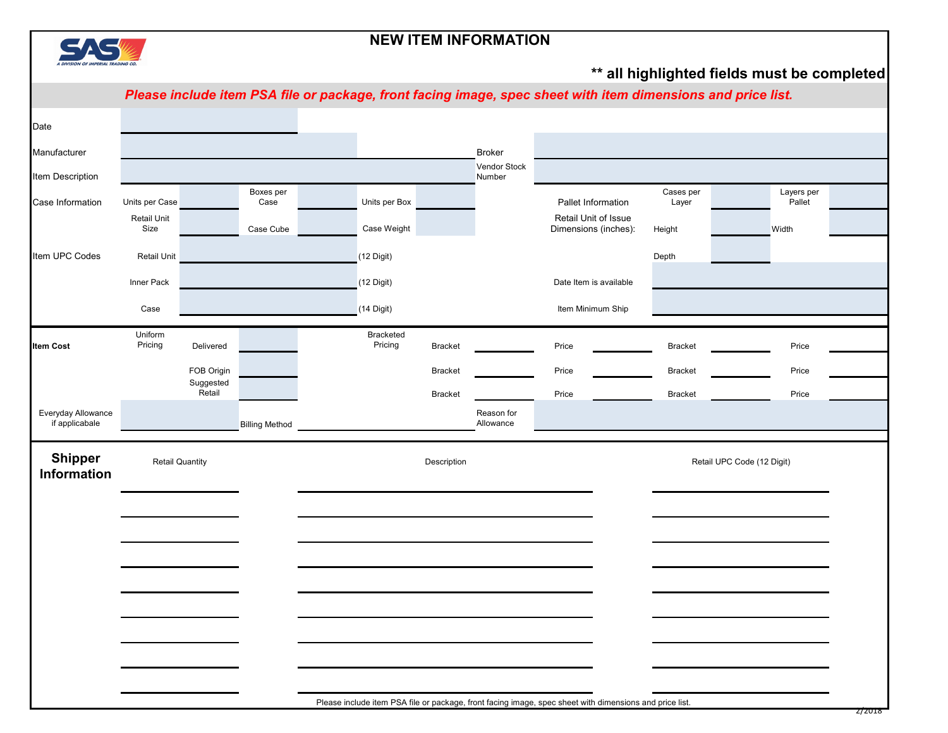

## **NEW ITEM INFORMATION**

## **\*\* all highlighted fields must be completed**

*Please include item PSA file or package, front facing image, spec sheet with item dimensions and price list.*

|                                      |                            |                        |                       | . .                  |                | $\sim$ $\sim$ $\sim$    |                                                                                                         |                    |                            |  |
|--------------------------------------|----------------------------|------------------------|-----------------------|----------------------|----------------|-------------------------|---------------------------------------------------------------------------------------------------------|--------------------|----------------------------|--|
| Date                                 |                            |                        |                       |                      |                |                         |                                                                                                         |                    |                            |  |
| Manufacturer                         |                            |                        |                       |                      |                | <b>Broker</b>           |                                                                                                         |                    |                            |  |
| Item Description                     |                            |                        |                       |                      |                | Vendor Stock<br>Number  |                                                                                                         |                    |                            |  |
| Case Information                     | Units per Case             |                        | Boxes per<br>Case     | Units per Box        |                |                         | Pallet Information                                                                                      | Cases per<br>Layer | Layers per<br>Pallet       |  |
|                                      | <b>Retail Unit</b><br>Size |                        | Case Cube             | Case Weight          |                |                         | Retail Unit of Issue<br>Dimensions (inches):                                                            | Height             | Width                      |  |
| Item UPC Codes                       | Retail Unit                |                        |                       | $(12$ Digit)         |                |                         |                                                                                                         | Depth              |                            |  |
|                                      | Inner Pack                 |                        |                       | $(12$ Digit)         |                |                         | Date Item is available                                                                                  |                    |                            |  |
|                                      | Case                       |                        |                       | $(14$ Digit)         |                |                         | Item Minimum Ship                                                                                       |                    |                            |  |
| <b>Item Cost</b>                     | Uniform<br>Pricing         | Delivered              |                       | Bracketed<br>Pricing | <b>Bracket</b> |                         | Price                                                                                                   | <b>Bracket</b>     | Price                      |  |
|                                      |                            | FOB Origin             |                       |                      | <b>Bracket</b> |                         | Price                                                                                                   | <b>Bracket</b>     | Price                      |  |
|                                      |                            | Suggested<br>Retail    |                       |                      | <b>Bracket</b> |                         | Price                                                                                                   | <b>Bracket</b>     | Price                      |  |
| Everyday Allowance<br>if applicabale |                            |                        | <b>Billing Method</b> |                      |                | Reason for<br>Allowance |                                                                                                         |                    |                            |  |
| <b>Shipper</b><br>Information        |                            | <b>Retail Quantity</b> |                       |                      | Description    |                         |                                                                                                         |                    | Retail UPC Code (12 Digit) |  |
|                                      |                            |                        |                       |                      |                |                         |                                                                                                         |                    |                            |  |
|                                      |                            |                        |                       |                      |                |                         |                                                                                                         |                    |                            |  |
|                                      |                            |                        |                       |                      |                |                         |                                                                                                         |                    |                            |  |
|                                      |                            |                        |                       |                      |                |                         |                                                                                                         |                    |                            |  |
|                                      |                            |                        |                       |                      |                |                         |                                                                                                         |                    |                            |  |
|                                      |                            |                        |                       |                      |                |                         |                                                                                                         |                    |                            |  |
|                                      |                            |                        |                       |                      |                |                         |                                                                                                         |                    |                            |  |
|                                      |                            |                        |                       |                      |                |                         |                                                                                                         |                    |                            |  |
|                                      |                            |                        |                       |                      |                |                         | Please include item PSA file or package, front facing image, spec sheet with dimensions and price list. |                    |                            |  |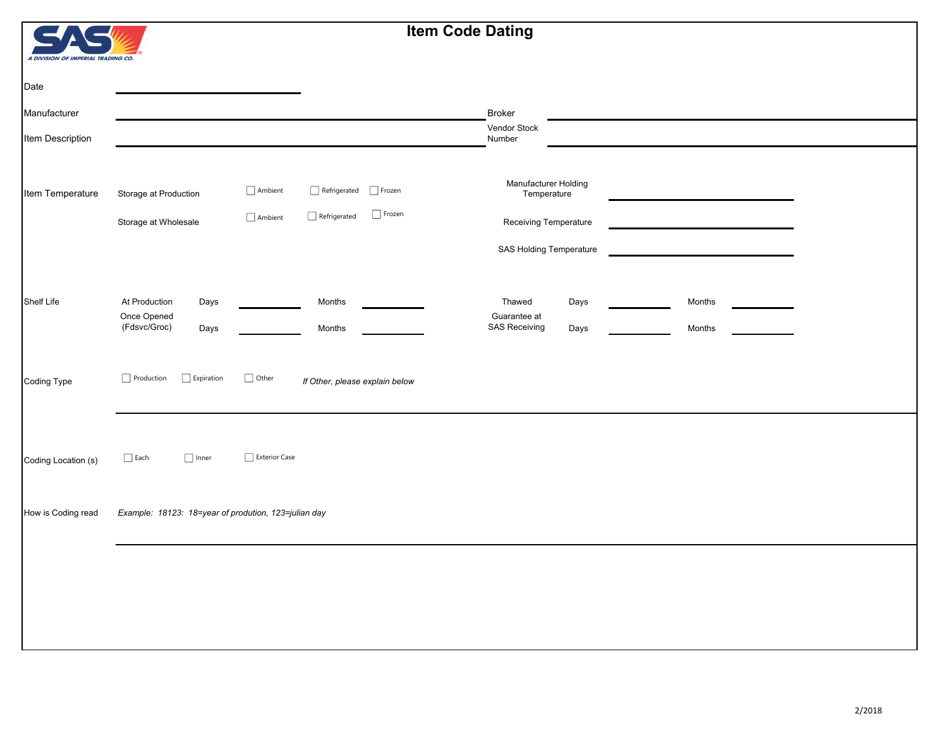## **Item Code Dating**

| A DIVISION OF IMPERIAL TRADING CO. |  |  |  |
|------------------------------------|--|--|--|

| Date                |                                                              |                                  |                                            |                                |                                                              |              |                  |  |
|---------------------|--------------------------------------------------------------|----------------------------------|--------------------------------------------|--------------------------------|--------------------------------------------------------------|--------------|------------------|--|
| Manufacturer        |                                                              |                                  |                                            |                                | <b>Broker</b>                                                |              |                  |  |
| Item Description    |                                                              |                                  |                                            |                                | Vendor Stock<br>Number                                       |              |                  |  |
| Item Temperature    | Storage at Production<br>Storage at Wholesale                | $\Box$ Ambient<br>$\Box$ Ambient | $\Box$ Refrigerated<br>$\Box$ Refrigerated | $\Box$ Frozen<br>$\Box$ Frozen | Manufacturer Holding<br>Temperature<br>Receiving Temperature |              |                  |  |
|                     |                                                              |                                  |                                            |                                | SAS Holding Temperature                                      |              |                  |  |
| Shelf Life          | At Production<br>Days<br>Once Opened<br>(Fdsvc/Groc)<br>Days |                                  | Months<br>Months                           |                                | Thawed<br>Guarantee at<br><b>SAS Receiving</b>               | Days<br>Days | Months<br>Months |  |
| Coding Type         | Production<br>$\Box$ Expiration                              | $\hfill\Box$ Other               | If Other, please explain below             |                                |                                                              |              |                  |  |
| Coding Location (s) | $\Box$ Each<br>$\Box$ Inner                                  | $\Box$ Exterior Case             |                                            |                                |                                                              |              |                  |  |
| How is Coding read  | Example: 18123: 18=year of prodution, 123=julian day         |                                  |                                            |                                |                                                              |              |                  |  |
|                     |                                                              |                                  |                                            |                                |                                                              |              |                  |  |
|                     |                                                              |                                  |                                            |                                |                                                              |              |                  |  |